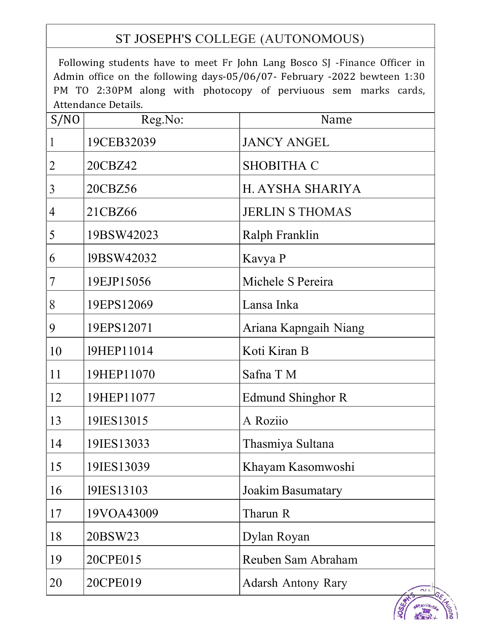## ST JOSEPH'S COLLEGE (AUTONOMOUS)

Following students have to meet Fr John Lang Bosco SJ -Finance Officer in Admin office on the following days-05/06/07- February -2022 bewteen 1:30 PM TO 2:30PM along with photocopy of perviuous sem marks cards, Attendance Details.

| S/NO | Reg.No:    | Name                                     |
|------|------------|------------------------------------------|
| 1    | 19CEB32039 | <b>JANCY ANGEL</b>                       |
| 2    | 20CBZ42    | <b>SHOBITHA C</b>                        |
| 3    | 20CBZ56    | H. AYSHA SHARIYA                         |
| 4    | 21CBZ66    | <b>JERLIN S THOMAS</b>                   |
| 5    | 19BSW42023 | Ralph Franklin                           |
| 6    | 19BSW42032 | Kavya P                                  |
| 7    | 19EJP15056 | Michele S Pereira                        |
| 8    | 19EPS12069 | Lansa Inka                               |
| 9    | 19EPS12071 | Ariana Kapngaih Niang                    |
| 10   | 19HEP11014 | Koti Kiran B                             |
| 11   | 19HEP11070 | Safna T M                                |
| 12   | 19HEP11077 | <b>Edmund Shinghor R</b>                 |
| 13   | 19IES13015 | A Roziio                                 |
| 14   | 19IES13033 | Thasmiya Sultana                         |
| 15   | 19IES13039 | Khayam Kasomwoshi                        |
| 16   | 19IES13103 | Joakim Basumatary                        |
| 17   | 19VOA43009 | Tharun R                                 |
| 18   | 20BSW23    | Dylan Royan                              |
| 19   | 20CPE015   | Reuben Sam Abraham                       |
| 20   | 20CPE019   | <b>Adarsh Antony Rary</b><br>$\bigcap L$ |